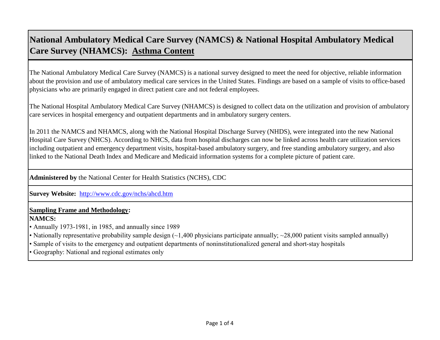The National Ambulatory Medical Care Survey (NAMCS) is a national survey designed to meet the need for objective, reliable information about the provision and use of ambulatory medical care services in the United States. Findings are based on a sample of visits to office-based physicians who are primarily engaged in direct patient care and not federal employees.

The National Hospital Ambulatory Medical Care Survey (NHAMCS) is designed to collect data on the utilization and provision of ambulatory care services in hospital emergency and outpatient departments and in ambulatory surgery centers.

In 2011 the NAMCS and NHAMCS, along with the National Hospital Discharge Survey (NHDS), were integrated into the new National Hospital Care Survey (NHCS). According to NHCS, data from hospital discharges can now be linked across health care utilization services including outpatient and emergency department visits, hospital-based ambulatory surgery, and free standing ambulatory surgery, and also linked to the National Death Index and Medicare and Medicaid information systems for a complete picture of patient care.

**Administered by** the National Center for Health Statistics (NCHS), CDC

**[Survey Website:](http://www.cdc.gov/nchs/ahcd.htm)** <http://www.cdc.gov/nchs/ahcd.htm>

#### **Sampling Frame and Methodology:**

#### **NAMCS:**

• Annually 1973-1981, in 1985, and annually since 1989

- Nationally representative probability sample design (~1,400 physicians participate annually; ~28,000 patient visits sampled annually)
- Sample of visits to the emergency and outpatient departments of noninstitutionalized general and short-stay hospitals

• Geography: National and regional estimates only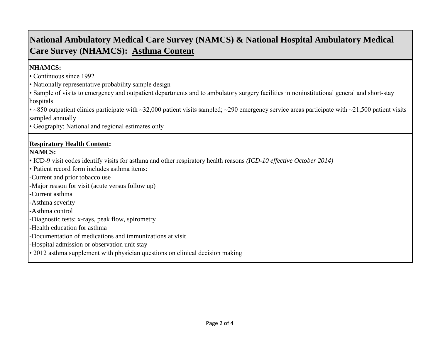### **NHAMCS:**

• Continuous since 1992

• Nationally representative probability sample design

• Sample of visits to emergency and outpatient departments and to ambulatory surgery facilities in noninstitutional general and short-stay hospitals

• ~850 outpatient clinics participate with ~32,000 patient visits sampled; ~290 emergency service areas participate with ~21,500 patient visits sampled annually

• Geography: National and regional estimates only

### **Respiratory Health Content:**

### **NAMCS:**

• ICD-9 visit codes identify visits for asthma and other respiratory health reasons *(ICD-10 effective October 2014)* 

• Patient record form includes asthma items:

-Current and prior tobacco use

-Major reason for visit (acute versus follow up)

-Current asthma

-Asthma severity

-Asthma control

-Diagnostic tests: x-rays, peak flow, spirometry

-Health education for asthma

-Documentation of medications and immunizations at visit

-Hospital admission or observation unit stay

• 2012 asthma supplement with physician questions on clinical decision making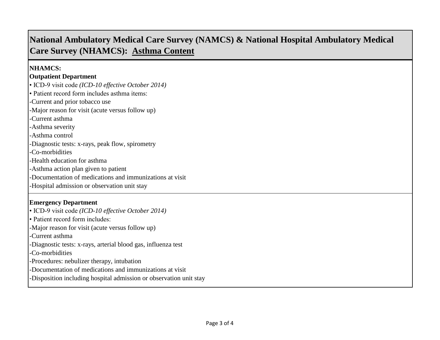### **NHAMCS:**

#### **Outpatient Department**

• ICD-9 visit code *(ICD-10 effective October 2014)*

• Patient record form includes asthma items:

-Current and prior tobacco use

-Major reason for visit (acute versus follow up)

-Current asthma

-Asthma severity

-Asthma control

-Diagnostic tests: x-rays, peak flow, spirometry

-Co-morbidities

-Health education for asthma

-Asthma action plan given to patient

-Documentation of medications and immunizations at visit

-Hospital admission or observation unit stay

### **Emergency Department**

• ICD-9 visit code *(ICD-10 effective October 2014)* • Patient record form includes: -Major reason for visit (acute versus follow up) -Current asthma -Diagnostic tests: x-rays, arterial blood gas, influenza test -Co-morbidities -Procedures: nebulizer therapy, intubation -Documentation of medications and immunizations at visit -Disposition including hospital admission or observation unit stay